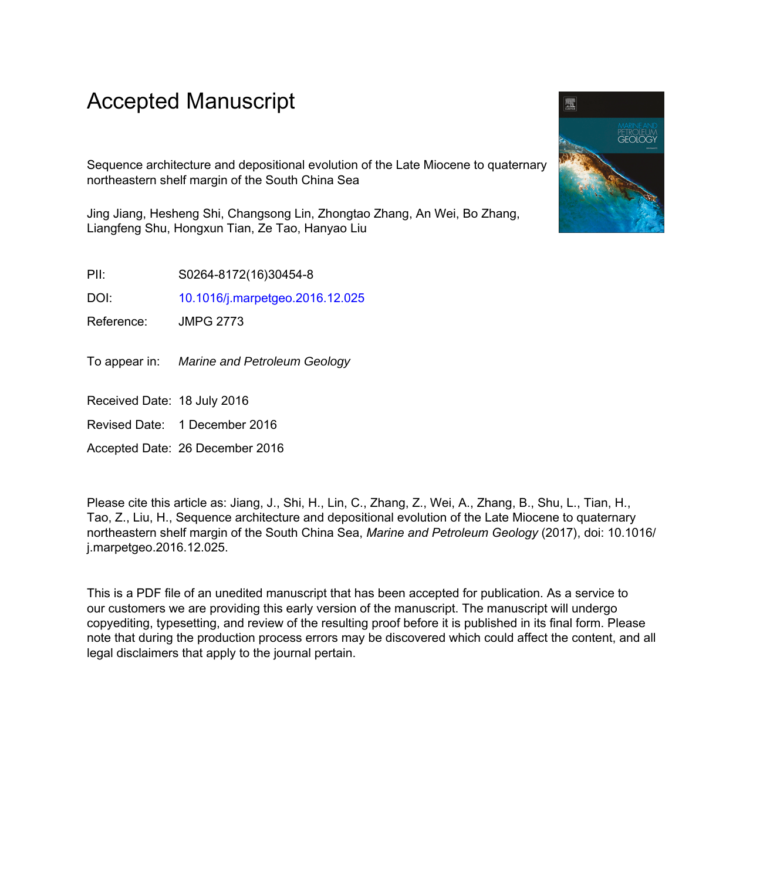# Accepted Manuscript

Sequence architecture and depositional evolution of the Late Miocene to quaternary northeastern shelf margin of the South China Sea

Jing Jiang, Hesheng Shi, Changsong Lin, Zhongtao Zhang, An Wei, Bo Zhang, Liangfeng Shu, Hongxun Tian, Ze Tao, Hanyao Liu

PII: S0264-8172(16)30454-8

DOI: [10.1016/j.marpetgeo.2016.12.025](http://dx.doi.org/10.1016/j.marpetgeo.2016.12.025)

Reference: JMPG 2773

To appear in: Marine and Petroleum Geology

Received Date: 18 July 2016

Revised Date: 1 December 2016

Accepted Date: 26 December 2016

Please cite this article as: Jiang, J., Shi, H., Lin, C., Zhang, Z., Wei, A., Zhang, B., Shu, L., Tian, H., Tao, Z., Liu, H., Sequence architecture and depositional evolution of the Late Miocene to quaternary northeastern shelf margin of the South China Sea, *Marine and Petroleum Geology* (2017), doi: 10.1016/ j.marpetgeo.2016.12.025.

This is a PDF file of an unedited manuscript that has been accepted for publication. As a service to our customers we are providing this early version of the manuscript. The manuscript will undergo copyediting, typesetting, and review of the resulting proof before it is published in its final form. Please note that during the production process errors may be discovered which could affect the content, and all legal disclaimers that apply to the journal pertain.

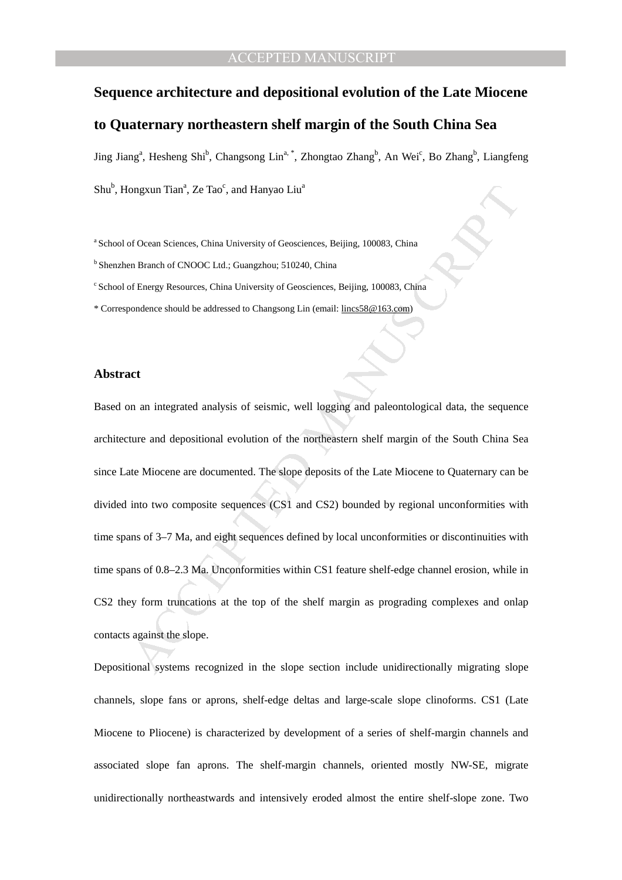#### CCEPTED MANUSCRIPT

### **Sequence architecture and depositional evolution of the Late Miocene**

## **to Quaternary northeastern shelf margin of the South China Sea**

Jing Jiang<sup>a</sup>, Hesheng Shi<sup>b</sup>, Changsong Lin<sup>a,\*</sup>, Zhongtao Zhang<sup>b</sup>, An Wei<sup>c</sup>, Bo Zhang<sup>b</sup>, Liangfeng

Shu<sup>b</sup>, Hongxun Tian<sup>a</sup>, Ze Tao<sup>c</sup>, and Hanyao Liu<sup>a</sup>

<sup>a</sup> School of Ocean Sciences, China University of Geosciences, Beijing, 100083, China

<sup>b</sup> Shenzhen Branch of CNOOC Ltd.; Guangzhou; 510240, China

<sup>c</sup> School of Energy Resources, China University of Geosciences, Beijing, 100083, China

\* Correspondence should be addressed to Changsong Lin (email: lincs58@163.com)

#### **Abstract**

ongxun Tiam", Ze Tuo<sup>c</sup>, and Hanyao Liu<sup>2</sup><br>
of Ocean Sciences, China University of Geosciences, Beijing, 100083, China<br>
on Branch of CNOOC Ltd.; Guangzhou; 510240, China<br>
of Energy Resources, China University of Geoscience Based on an integrated analysis of seismic, well logging and paleontological data, the sequence architecture and depositional evolution of the northeastern shelf margin of the South China Sea since Late Miocene are documented. The slope deposits of the Late Miocene to Quaternary can be divided into two composite sequences (CS1 and CS2) bounded by regional unconformities with time spans of 3–7 Ma, and eight sequences defined by local unconformities or discontinuities with time spans of 0.8–2.3 Ma. Unconformities within CS1 feature shelf-edge channel erosion, while in CS2 they form truncations at the top of the shelf margin as prograding complexes and onlap contacts against the slope.

Depositional systems recognized in the slope section include unidirectionally migrating slope channels, slope fans or aprons, shelf-edge deltas and large-scale slope clinoforms. CS1 (Late Miocene to Pliocene) is characterized by development of a series of shelf-margin channels and associated slope fan aprons. The shelf-margin channels, oriented mostly NW-SE, migrate unidirectionally northeastwards and intensively eroded almost the entire shelf-slope zone. Two